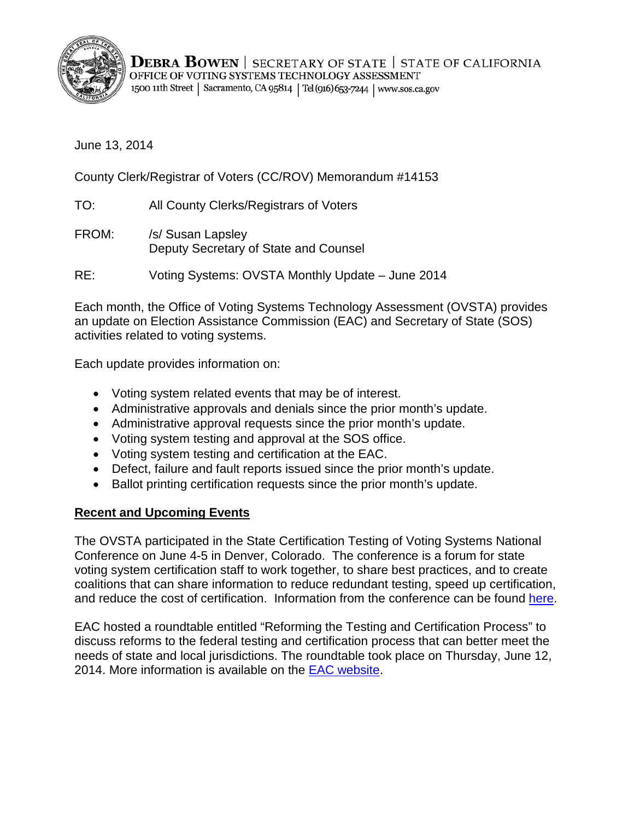

**DEBRA BOWEN** | SECRETARY OF STATE | STATE OF CALIFORNIA OFFICE OF VOTING SYSTEMS TECHNOLOGY ASSESSMENT 1500 11th Street | Sacramento, CA 95814 | Tel (916) 653-7244 | www.sos.ca.gov

June 13, 2014

County Clerk/Registrar of Voters (CC/ROV) Memorandum #14153

TO: All County Clerks/Registrars of Voters

FROM: /s/ Susan Lapsley Deputy Secretary of State and Counsel

RE: Voting Systems: OVSTA Monthly Update – June 2014

Each month, the Office of Voting Systems Technology Assessment (OVSTA) provides an update on Election Assistance Commission (EAC) and Secretary of State (SOS) activities related to voting systems.

Each update provides information on:

- Voting system related events that may be of interest.
- Administrative approvals and denials since the prior month's update.
- Administrative approval requests since the prior month's update.
- Voting system testing and approval at the SOS office.
- Voting system testing and certification at the EAC.
- Defect, failure and fault reports issued since the prior month's update.
- Ballot printing certification requests since the prior month's update.

#### **Recent and Upcoming Events**

The OVSTA participated in the State Certification Testing of Voting Systems National Conference on June 4-5 in Denver, Colorado. The conference is a forum for state voting system certification staff to work together, to share best practices, and to create coalitions that can share information to reduce redundant testing, speed up certification, and reduce the cost of certification. Information from the conference can be found [here.](http://bowencenterforpublicaffairs.org/institutes/policy-research/election-admin/conference/denver-conference-2014)

EAC hosted a roundtable entitled "Reforming the Testing and Certification Process" to discuss reforms to the federal testing and certification process that can better meet the needs of state and local jurisdictions. The roundtable took place on Thursday, June 12, 2014. More information is available on the **EAC website**.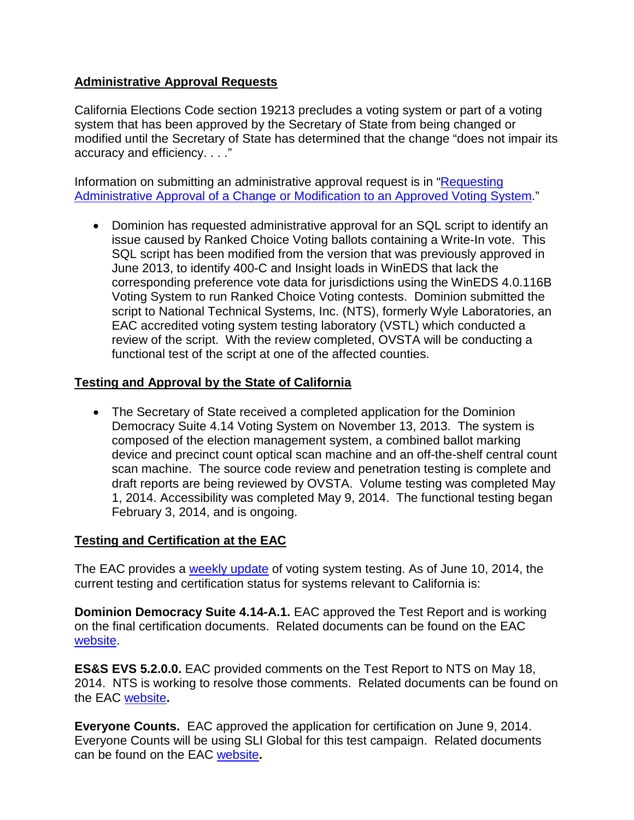## **Administrative Approval Requests**

California Elections Code section 19213 precludes a voting system or part of a voting system that has been approved by the Secretary of State from being changed or modified until the Secretary of State has determined that the change "does not impair its accuracy and efficiency. . . ."

Information on submitting an administrative approval request is in "Requesting" Administrative Approval of [a Change or Modification to an Approved Voting System.](http://www.sos.ca.gov/voting-systems/cert-and-approval/vsysapproval/admin-approval-requirements2012.pdf)"

• Dominion has requested administrative approval for an SQL script to identify an issue caused by Ranked Choice Voting ballots containing a Write-In vote. This SQL script has been modified from the version that was previously approved in June 2013, to identify 400-C and Insight loads in WinEDS that lack the corresponding preference vote data for jurisdictions using the WinEDS 4.0.116B Voting System to run Ranked Choice Voting contests. Dominion submitted the script to National Technical Systems, Inc. (NTS), formerly Wyle Laboratories, an EAC accredited voting system testing laboratory (VSTL) which conducted a review of the script. With the review completed, OVSTA will be conducting a functional test of the script at one of the affected counties.

# **Testing and Approval by the State of California**

• The Secretary of State received a completed application for the Dominion Democracy Suite 4.14 Voting System on November 13, 2013. The system is composed of the election management system, a combined ballot marking device and precinct count optical scan machine and an off-the-shelf central count scan machine. The source code review and penetration testing is complete and draft reports are being reviewed by OVSTA. Volume testing was completed May 1, 2014. Accessibility was completed May 9, 2014. The functional testing began February 3, 2014, and is ongoing.

## **Testing and Certification at the EAC**

The EAC provides a [weekly update](http://www.eac.gov/blogs/voting_system_testing_update_61014/) of voting system testing. As of June 10, 2014, the current testing and certification status for systems relevant to California is:

**Dominion Democracy Suite 4.14-A.1.** EAC approved the Test Report and is working on the final certification documents. Related documents can be found on the EAC [website.](http://www.eac.gov/testing_and_certification/voting_systems_under_test.aspx)

**ES&S EVS 5.2.0.0.** EAC provided comments on the Test Report to NTS on May 18, 2014. NTS is working to resolve those comments. Related documents can be found on the EAC [website](http://www.eac.gov/testing_and_certification/voting_systems_under_test.aspx)**.** 

**Everyone Counts.** EAC approved the application for certification on June 9, 2014. Everyone Counts will be using SLI Global for this test campaign. Related documents can be found on the EAC [website](http://www.eac.gov/testing_and_certification/voting_systems_under_test.aspx)**.**